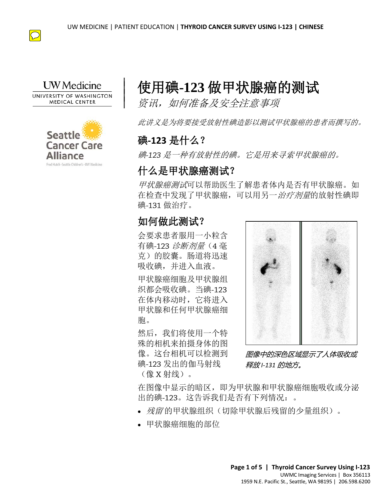

#### **UW** Medicine UNIVERSITY OF WASHINGTON **MEDICAL CENTER**

 $\overline{\phantom{a}}$  $\vert$  $\vert$  $\vert$ 



# 使用碘**-123** 做甲状腺癌的测试

资讯,如何准备及安全注意事项

此讲义是为将要接受放射性碘造影以测试甲状腺癌的患者而撰写的。

# 碘**-123** 是什么?

碘*-123* 是一种有放射性的碘。它是用来寻索甲状腺癌的。

# 什么是甲状腺癌测试?

ロンスピーの「麻猫」のは・<br>*甲状腺癌測试*可以帮助医生了解患者体内是否有甲状腺癌。<br>在检查中发现了甲状腺癌,可以用另一*治疗剂量*的放射性™<br>碘-131 做治疗。<br>**如何做此测试?**<br>会要求患者服用一小粒含<br>春碘-123 *诊断剂量*(4 毫 甲状腺癌测试可以帮助医生了解患者体内是否有甲状腺癌。如 在检查中发现了甲状腺癌,可以用另一治疗剂量的放射性碘即 碘-131 做治疗。

# 如何做此测试?

会要求患者服用一小粒含 有碘-123 诊断剂量(4 毫 克)的胶囊。肠道将迅速 吸收碘,并进入血液。

甲状腺癌细胞及甲状腺组 织都会吸收碘。当碘-123 在体内移动时,它将进入 甲状腺和任何甲状腺癌细 胞。

然后,我们将使用一个特 殊的相机来拍摄身体的图 像。这台相机可以检测到 碘-123 发出的伽马射线 (像 X 射线)。



图像中的深色区域显示了人体吸收或 释放 *I-131* 的地方。

在图像中显示的暗区,即为甲状腺和甲状腺癌细胞吸收或分泌 出的碘-123。这告诉我们是否有下列情况:。

- 残留的甲状腺组织(切除甲状腺后残留的少量组织)。
- 甲状腺癌细胞的部位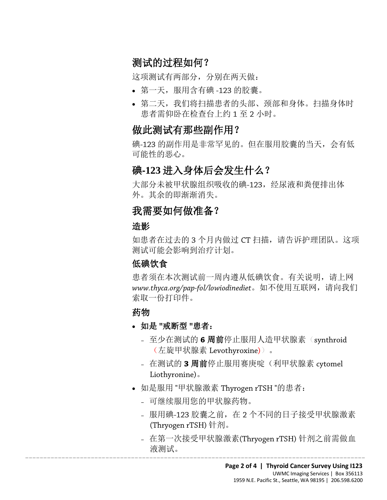# 测试的过程如何?

这项测试有两部分,分别在两天做:

- 第一天,服用含有碘 -123 的胶囊。
- 第二天,我们将扫描患者的头部、颈部和身体。扫描身体时 患者需仰卧在检查台上约 1 至 2 小时。

#### 做此测试有那些副作用?

碘-123 的副作用是非常罕见的。但在服用胶囊的当天,会有低 可能性的恶心。

#### 碘**-123** 进入身体后会发生什么?

大部分未被甲状腺组织吸收的碘-123,经尿液和粪便排出体 外。其余的即渐渐消失。

#### 我需要如何做准备?

#### 造影

大部分未被甲状腺组织吸收的碘-123,经尿液和粪便排出体外。其余的即渐渐消失。<br>外。其余的即渐渐消失。<br>**我需要如何做准备?**<br>造影<br>如患者在过去的3个月内做过 CT 扫描,请告诉护理团队。这 如患者在过去的 3 个月内做过 CT 扫描, 请告诉护理团队。这项 测试可能会影响到治疗计划。

#### 低碘饮食

患者须在本次测试前一周内遵从低碘饮食。有关说明,请上网 *www.thyca.org/pap-fol/lowiodinediet*。如不使用互联网,请向我们 索取一份打印件。

#### 药物

- 如是 **"**戒断型 **"**患者:
	- 至少在测试的 **6** 周前停止服用人造甲状腺素(synthroid (左旋甲状腺素 Levothyroxine))。
	- 在测试的 **3** 周前停止服用赛庚啶(利甲状腺素 cytomel Liothyronine)。
- 如是服用 "甲状腺激素 Thyrogen rTSH "的患者:
	- 可继续服用您的甲状腺药物。
	- 服用碘-123 胶囊之前,在 2 个不同的日子接受甲状腺激素 (Thryogen rTSH) 针剂。
- $\_$  ,  $\_$  ,  $\_$  ,  $\_$  ,  $\_$  ,  $\_$  ,  $\_$  ,  $\_$  ,  $\_$  ,  $\_$  ,  $\_$  ,  $\_$  ,  $\_$  ,  $\_$  ,  $\_$  ,  $\_$  ,  $\_$  ,  $\_$  ,  $\_$  ,  $\_$  ,  $\_$  ,  $\_$  ,  $\_$  ,  $\_$  ,  $\_$  ,  $\_$  ,  $\_$  ,  $\_$  ,  $\_$  ,  $\_$  ,  $\_$  ,  $\_$  ,  $\_$  ,  $\_$  ,  $\_$  ,  $\_$  ,  $\_$  , – 在第一次接受甲状腺激素(Thryogen rTSH) 针剂之前需做血 液测试。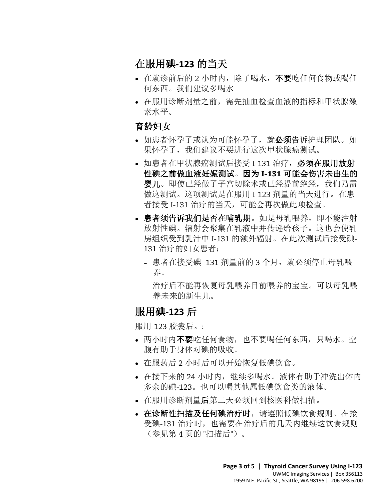# 在服用碘**-123** 的当天

- 在就诊前后的 2 小时内, 除了喝水, 不要吃任何食物或喝任 何东西。我们建议多喝水
- 在服用诊断剂量之前,需先抽血检查血液的指标和甲状腺激 素水平。

#### 育龄妇女

- 如患者怀孕了或认为可能怀孕了,就必须告诉护理团队。如 果怀孕了,我们建议不要进行这次甲状腺癌测试。
- 如患者在甲状腺癌测试后接受 I-131 治疗, 必须在服用放射 性碘之前做血液妊娠测试。因为 **I-131** 可能会伤害未出生的 婴儿。即使已经做了子宫切除术或已经提前绝经,我们乃需 做这测试。这项测试是在服用 I-123 剂量的当天进行。在患 者接受 I-131 治疗的当天,可能会再次做此项检查。
- **婴儿**。即使已经做了子宫切除术或已经提前绝经,我们乃做这测试。这项测试是在服用 I-123 剂量的当天进行。在者接受 I-131 治疗的当天,可能会再次做此项检查。<br>者接受 I-131 治疗的当天,可能会再次做此项检查。<br>● 患者须告诉我们是否在哺乳期。如是母乳喂养,即不能注<br>放射性碘。辐射会聚集在乳液中并传递给孩子。这也会使<br>房组织受到乳汁中 I-131 的额外辐射。在此次测试后接受<br>131 治疗的妇女患者: • 患者须告诉我们是否在哺乳期。如是母乳喂养,即不能注射 放射性碘。辐射会聚集在乳液中并传递给孩子。这也会使乳 房组织受到乳汁中 I-131 的额外辐射。在此次测试后接受碘-131 治疗的妇女患者:
	- 患者在接受碘 -131 剂量前的 3 个月,就必须停止母乳喂 养。
	- 治疗后不能再恢复母乳喂养目前喂养的宝宝。可以母乳喂 养未来的新生儿。

#### 服用碘**-123** 后

服用-123 胶囊后。:

- 两小时内不要吃任何食物, 也不要喝任何东西, 只喝水。空 腹有助于身体对碘的吸收。
- 在服药后 2 小时后可以开始恢复低碘饮食。

- 在接下来的 24 小时内,继续多喝水。液体有助于冲洗出体内 多余的碘-123。也可以喝其他属低碘饮食类的液体。
- 在服用诊断剂量后第二天必须回到核医科做扫描。
- 在诊断性扫描及任何碘治疗时,请遵照低碘饮食规则。在接 受碘-131 治疗时,也需要在治疗后的几天内继续这饮食规则 (参见第 4 页的 "扫描后")。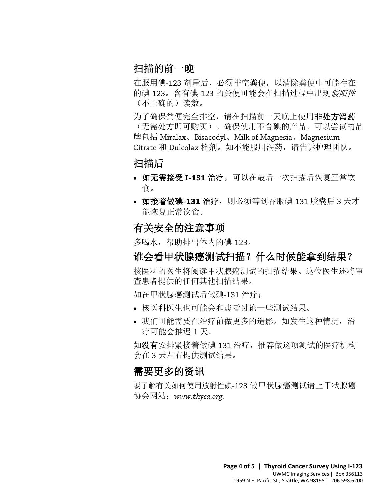# 扫描的前一晚

在服用碘-123 剂量后,必须排空粪便,以清除粪便中可能存在 的碘-123。含有碘-123 的粪便可能会在扫描过程中出现*假阳性* (不正确的)读数。

为了确保粪便完全排空,请在扫描前一天晚上使用非处方泻药 (无需处方即可购买)。确保使用不含碘的产品。可以尝试的品 牌包括 Miralax、Bisacodyl、Milk of Magnesia、Magnesium Citrate 和 Dulcolax 栓剂。如不能服用泻药,请告诉护理团队。

#### 扫描后

- 如无需接受 **I-131** 治疗,可以在最后一次扫描后恢复正常饮 食。
- DRAFT • 如接着做碘**-131** 治疗,则必须等到吞服碘-131 胶囊后 3 天才 能恢复正常饮食。

#### 有关安全的注意事项

多喝水,帮助排出体内的碘-123。

# 谁会看甲状腺癌测试扫描?什么时候能拿到结果?

核医科的医生将阅读甲状腺癌测试的扫描结果。这位医生还将审 查患者提供的任何其他扫描结果。

如在甲状腺癌测试后做碘-131 治疗;

 $\_$  ,  $\_$  ,  $\_$  ,  $\_$  ,  $\_$  ,  $\_$  ,  $\_$  ,  $\_$  ,  $\_$  ,  $\_$  ,  $\_$  ,  $\_$  ,  $\_$  ,  $\_$  ,  $\_$  ,  $\_$  ,  $\_$  ,  $\_$  ,  $\_$  ,  $\_$  ,  $\_$  ,  $\_$  ,  $\_$  ,  $\_$  ,  $\_$  ,  $\_$  ,  $\_$  ,  $\_$  ,  $\_$  ,  $\_$  ,  $\_$  ,  $\_$  ,  $\_$  ,  $\_$  ,  $\_$  ,  $\_$  ,  $\_$  ,

- 核医科医生也可能会和患者讨论一些测试结果。
- 我们可能需要在治疗前做更多的造影。如发生这种情况, 治 疗可能会推迟 1 天。

如没有安排紧接着做碘-131 治疗,推荐做这项测试的医疗机构 会在 3 天左右提供测试结果。

# 需要更多的资讯

要了解有关如何使用放射性碘-123 做甲状腺癌测试请上甲状腺癌 协会网站:*www.thyca.org.*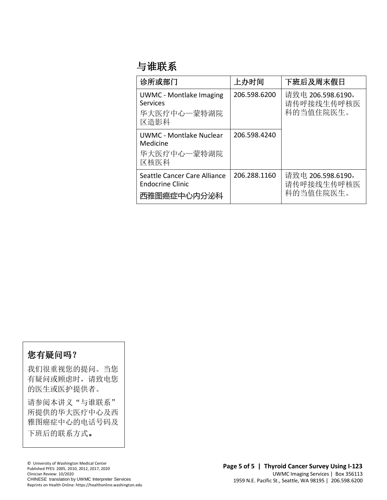# 与谁联系

| 诊所或部门                                                                    | 上办时间         | 下班后及周末假日                                     |
|--------------------------------------------------------------------------|--------------|----------------------------------------------|
| <b>UWMC - Montlake Imaging</b><br><b>Services</b><br>华大医疗中心一蒙特湖院<br>区造影科 | 206.598.6200 | 请致电 206.598.6190,<br>请传呼接线生传呼核医<br>科的当值住院医生。 |
| <b>UWMC - Montlake Nuclear</b><br>Medicine<br>华大医疗中心一蒙特湖院<br>区核医科        | 206.598.4240 |                                              |
| Seattle Cancer Care Alliance<br><b>Endocrine Clinic</b><br>西雅图癌症中心内分泌科   | 206.288.1160 | 请致电 206.598.6190,<br>请传呼接线生传呼核医<br>科的当值住院医生。 |
|                                                                          |              |                                              |
|                                                                          |              |                                              |

#### 您有疑问吗?

我们很重视您的提问。当您 有疑问或顾虑时,请致电您 的医生或医护提供者。

请参阅本讲义"与谁联系" 所提供的华大医疗中心及西 雅图癌症中心的电话号码及 下班后的联系方式。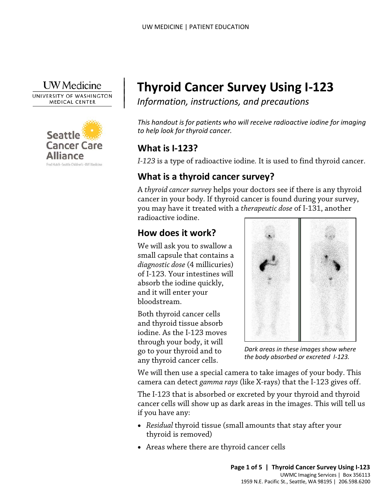

 $\overline{\phantom{a}}$  $\vert$  $\vert$  $\vert$ 

UNIVERSITY OF WASHINGTON **MEDICAL CENTER** 



# **Thyroid Cancer Survey Using I-123**

*Information, instructions, and precautions*

*This handout is for patients who will receive radioactive iodine for imaging to help look for thyroid cancer.* 

# **What is I-123?**

*I-123* is a type of radioactive iodine*.* It is used to find thyroid cancer.

# **What is a thyroid cancer survey?**

What is a thyroid cancer survey?<br>
A *thyroid cancer survey* helps your doctors see if there is any thy<br>
cancer in your body. If thyroid cancer is found during your sur<br>
you may have it treated with a *therapeutic dose* of A *thyroid cancer survey* helps your doctors see if there is any thyroid cancer in your body. If thyroid cancer is found during your survey, you may have it treated with a *therapeutic dose* of I-131, another radioactive iodine.

# **How does it work?**

We will ask you to swallow a small capsule that contains a *diagnostic dose* (4 millicuries) of I-123. Your intestines will absorb the iodine quickly, and it will enter your bloodstream.

Both thyroid cancer cells and thyroid tissue absorb iodine. As the I-123 moves through your body, it will go to your thyroid and to any thyroid cancer cells.



*Dark areas in these images show where the body absorbed or excreted I-123.*

We will then use a special camera to take images of your body. This camera can detect *gamma rays* (like X-rays) that the I-123 gives off.

The I-123 that is absorbed or excreted by your thyroid and thyroid cancer cells will show up as dark areas in the images. This will tell us if you have any:

- *Residual* thyroid tissue (small amounts that stay after your thyroid is removed)
- Areas where there are thyroid cancer cells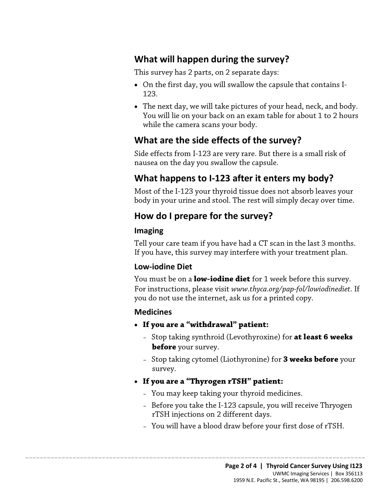# **What will happen during the survey?**

This survey has 2 parts, on 2 separate days:

- On the first day, you will swallow the capsule that contains I-123.
- The next day, we will take pictures of your head, neck, and body. You will lie on your back on an exam table for about 1 to 2 hours while the camera scans your body.

#### **What are the side effects of the survey?**

Side effects from I-123 are very rare. But there is a small risk of nausea on the day you swallow the capsule.

# **What happens to I-123 after it enters my body?**

Most of the I-123 your thyroid tissue does not absorb leaves your body in your urine and stool. The rest will simply decay over time.

#### **How do I prepare for the survey?**

#### **Imaging**

Most of the I-123 your thyroid tissue does not absorb leaves your body in your urine and stool. The rest will simply decay over tim<br>How do I prepare for the survey?<br>Imaging<br>Tell your care team if you have had a CT scan in Tell your care team if you have had a CT scan in the last 3 months. If you have, this survey may interfere with your treatment plan.

#### **Low-iodine Diet**

You must be on a **low-iodine diet** for 1 week before this survey. For instructions, please visit *www.thyca.org/pap-fol/lowiodinediet.* If you do not use the internet, ask us for a printed copy.

#### **Medicines**

- **If you are a "withdrawal" patient:**
	- Stop taking synthroid (Levothyroxine) for **at least 6 weeks before** your survey.
	- Stop taking cytomel (Liothyronine) for **3 weeks before** your survey.
- **If you are a "Thyrogen rTSH" patient:**

- You may keep taking your thyroid medicines.
- Before you take the I-123 capsule, you will receive Thryogen rTSH injections on 2 different days.
- You will have a blood draw before your first dose of rTSH.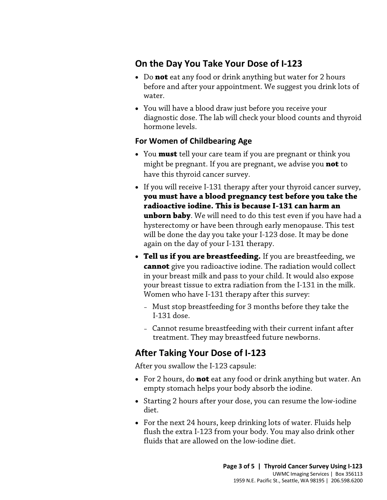# **On the Day You Take Your Dose of I-123**

- Do **not** eat any food or drink anything but water for 2 hours before and after your appointment. We suggest you drink lots of water.
- You will have a blood draw just before you receive your diagnostic dose. The lab will check your blood counts and thyroid hormone levels.

#### **For Women of Childbearing Age**

- You **must** tell your care team if you are pregnant or think you might be pregnant. If you are pregnant, we advise you **not** to have this thyroid cancer survey.
- If you will receive I-131 therapy after your thyroid cancer sur<br>**you must have a blood pregnancy test before you take tradioactive iodine. This is because I-131 can harm an<br><b>unborn baby**. We will need to do this test ev • If you will receive I-131 therapy after your thyroid cancer survey, **you must have a blood pregnancy test before you take the radioactive iodine. This is because I-131 can harm an unborn baby**. We will need to do this test even if you have had a hysterectomy or have been through early menopause. This test will be done the day you take your I-123 dose. It may be done again on the day of your I-131 therapy.
	- **Tell us if you are breastfeeding.** If you are breastfeeding, we **cannot** give you radioactive iodine. The radiation would collect in your breast milk and pass to your child. It would also expose your breast tissue to extra radiation from the I-131 in the milk. Women who have I-131 therapy after this survey:
		- Must stop breastfeeding for 3 months before they take the I-131 dose.
		- Cannot resume breastfeeding with their current infant after treatment. They may breastfeed future newborns.

#### **After Taking Your Dose of I-123**

After you swallow the I-123 capsule:

- For 2 hours, do **not** eat any food or drink anything but water. An empty stomach helps your body absorb the iodine.
- Starting 2 hours after your dose, you can resume the low-iodine diet.
- For the next 24 hours, keep drinking lots of water. Fluids help flush the extra I-123 from your body. You may also drink other fluids that are allowed on the low-iodine diet.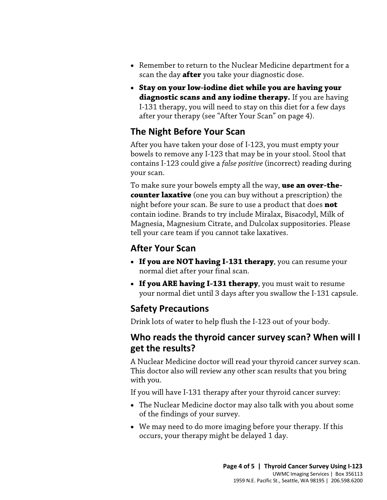- Remember to return to the Nuclear Medicine department for a scan the day **after** you take your diagnostic dose.
- **Stay on your low-iodine diet while you are having your diagnostic scans and any iodine therapy.** If you are having I-131 therapy, you will need to stay on this diet for a few days after your therapy (see "After Your Scan" on page 4).

# **The Night Before Your Scan**

After you have taken your dose of I-123, you must empty your bowels to remove any I-123 that may be in your stool. Stool that contains I-123 could give a *false positive* (incorrect) reading during your scan.

To make sure your bowels empty all the way, use an over-the-<br>counter laxative (one you can buy without a prescription) the<br>night before your scan. Be sure to use a product that does not<br>contain iodine. Brands to try includ To make sure your bowels empty all the way, **use an over-thecounter laxative** (one you can buy without a prescription) the night before your scan. Be sure to use a product that does **not** contain iodine. Brands to try include Miralax, Bisacodyl, Milk of Magnesia, Magnesium Citrate, and Dulcolax suppositories. Please tell your care team if you cannot take laxatives.

#### **After Your Scan**

- **If you are NOT having I-131 therapy**, you can resume your normal diet after your final scan.
- **If you ARE having I-131 therapy**, you must wait to resume your normal diet until 3 days after you swallow the I-131 capsule.

#### **Safety Precautions**

Drink lots of water to help flush the I-123 out of your body.

#### **Who reads the thyroid cancer survey scan? When will I get the results?**

A Nuclear Medicine doctor will read your thyroid cancer survey scan. This doctor also will review any other scan results that you bring with you.

If you will have I-131 therapy after your thyroid cancer survey:

- The Nuclear Medicine doctor may also talk with you about some of the findings of your survey.
- We may need to do more imaging before your therapy. If this occurs, your therapy might be delayed 1 day.